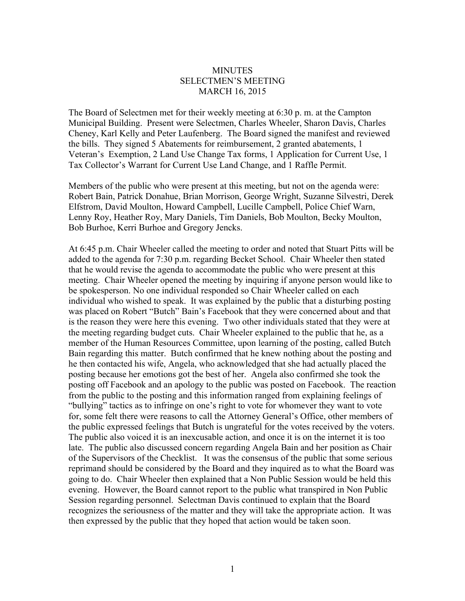## **MINUTES** SELECTMEN'S MEETING MARCH 16, 2015

The Board of Selectmen met for their weekly meeting at 6:30 p. m. at the Campton Municipal Building. Present were Selectmen, Charles Wheeler, Sharon Davis, Charles Cheney, Karl Kelly and Peter Laufenberg. The Board signed the manifest and reviewed the bills. They signed 5 Abatements for reimbursement, 2 granted abatements, 1 Veteran's Exemption, 2 Land Use Change Tax forms, 1 Application for Current Use, 1 Tax Collector's Warrant for Current Use Land Change, and 1 Raffle Permit.

Members of the public who were present at this meeting, but not on the agenda were: Robert Bain, Patrick Donahue, Brian Morrison, George Wright, Suzanne Silvestri, Derek Elfstrom, David Moulton, Howard Campbell, Lucille Campbell, Police Chief Warn, Lenny Roy, Heather Roy, Mary Daniels, Tim Daniels, Bob Moulton, Becky Moulton, Bob Burhoe, Kerri Burhoe and Gregory Jencks.

At 6:45 p.m. Chair Wheeler called the meeting to order and noted that Stuart Pitts will be added to the agenda for 7:30 p.m. regarding Becket School. Chair Wheeler then stated that he would revise the agenda to accommodate the public who were present at this meeting. Chair Wheeler opened the meeting by inquiring if anyone person would like to be spokesperson. No one individual responded so Chair Wheeler called on each individual who wished to speak. It was explained by the public that a disturbing posting was placed on Robert "Butch" Bain's Facebook that they were concerned about and that is the reason they were here this evening. Two other individuals stated that they were at the meeting regarding budget cuts. Chair Wheeler explained to the public that he, as a member of the Human Resources Committee, upon learning of the posting, called Butch Bain regarding this matter. Butch confirmed that he knew nothing about the posting and he then contacted his wife, Angela, who acknowledged that she had actually placed the posting because her emotions got the best of her. Angela also confirmed she took the posting off Facebook and an apology to the public was posted on Facebook. The reaction from the public to the posting and this information ranged from explaining feelings of "bullying" tactics as to infringe on one's right to vote for whomever they want to vote for, some felt there were reasons to call the Attorney General's Office, other members of the public expressed feelings that Butch is ungrateful for the votes received by the voters. The public also voiced it is an inexcusable action, and once it is on the internet it is too late. The public also discussed concern regarding Angela Bain and her position as Chair of the Supervisors of the Checklist. It was the consensus of the public that some serious reprimand should be considered by the Board and they inquired as to what the Board was going to do. Chair Wheeler then explained that a Non Public Session would be held this evening. However, the Board cannot report to the public what transpired in Non Public Session regarding personnel. Selectman Davis continued to explain that the Board recognizes the seriousness of the matter and they will take the appropriate action. It was then expressed by the public that they hoped that action would be taken soon.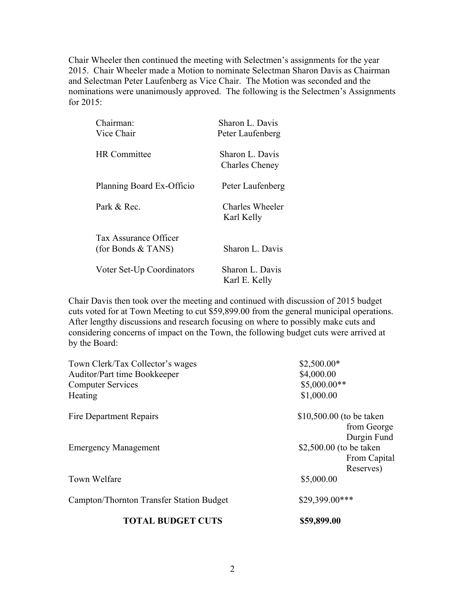Chair Wheeler then continued the meeting with Selectmen's assignments for the year 2015. Chair Wheeler made a Motion to nominate Selectman Sharon Davis as Chairman and Selectman Peter Laufenberg as Vice Chair. The Motion was seconded and the nominations were unanimously approved. The following is the Selectmen's Assignments for 2015:

| Chairman:<br>Vice Chair                     | Sharon L. Davis<br>Peter Laufenberg      |
|---------------------------------------------|------------------------------------------|
| <b>HR</b> Committee                         | Sharon L. Davis<br><b>Charles Cheney</b> |
| Planning Board Ex-Officio                   | Peter Laufenberg                         |
| Park & Rec.                                 | Charles Wheeler<br>Karl Kelly            |
| Tax Assurance Officer<br>(for Bonds & TANS) | Sharon L. Davis                          |
| Voter Set-Up Coordinators                   | Sharon L. Davis<br>Karl E. Kelly         |

Chair Davis then took over the meeting and continued with discussion of 2015 budget cuts voted for at Town Meeting to cut \$59,899.00 from the general municipal operations. After lengthy discussions and research focusing on where to possibly make cuts and considering concerns of impact on the Town, the following budget cuts were arrived at by the Board:

| Town Clerk/Tax Collector's wages         | $$2,500.00*$             |
|------------------------------------------|--------------------------|
| Auditor/Part time Bookkeeper             | \$4,000.00               |
| <b>Computer Services</b>                 | $$5,000.00**$            |
| Heating                                  | \$1,000.00               |
| <b>Fire Department Repairs</b>           | \$10,500.00 (to be taken |
|                                          | from George              |
|                                          | Durgin Fund              |
| <b>Emergency Management</b>              | \$2,500.00 (to be taken  |
|                                          | From Capital             |
|                                          | Reserves)                |
| Town Welfare                             | \$5,000.00               |
| Campton/Thornton Transfer Station Budget | \$29,399.00***           |
| <b>TOTAL BUDGET CUTS</b>                 | \$59,899.00              |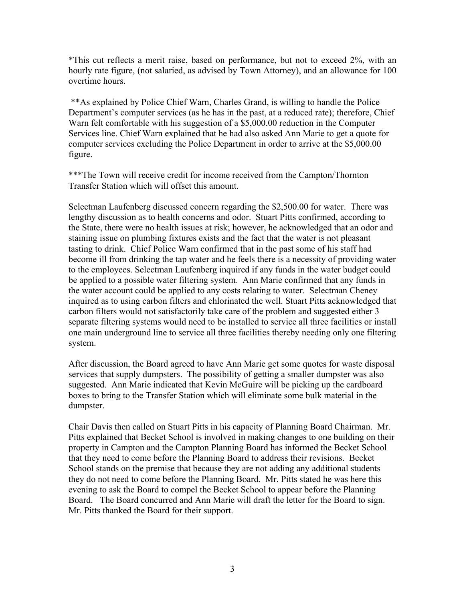\*This cut reflects a merit raise, based on performance, but not to exceed 2%, with an hourly rate figure, (not salaried, as advised by Town Attorney), and an allowance for 100 overtime hours.

\*\*As explained by Police Chief Warn, Charles Grand, is willing to handle the Police Department's computer services (as he has in the past, at a reduced rate); therefore, Chief Warn felt comfortable with his suggestion of a \$5,000.00 reduction in the Computer Services line. Chief Warn explained that he had also asked Ann Marie to get a quote for computer services excluding the Police Department in order to arrive at the \$5,000.00 figure.

\*\*\*The Town will receive credit for income received from the Campton/Thornton Transfer Station which will offset this amount.

Selectman Laufenberg discussed concern regarding the \$2,500.00 for water. There was lengthy discussion as to health concerns and odor. Stuart Pitts confirmed, according to the State, there were no health issues at risk; however, he acknowledged that an odor and staining issue on plumbing fixtures exists and the fact that the water is not pleasant tasting to drink. Chief Police Warn confirmed that in the past some of his staff had become ill from drinking the tap water and he feels there is a necessity of providing water to the employees. Selectman Laufenberg inquired if any funds in the water budget could be applied to a possible water filtering system. Ann Marie confirmed that any funds in the water account could be applied to any costs relating to water. Selectman Cheney inquired as to using carbon filters and chlorinated the well. Stuart Pitts acknowledged that carbon filters would not satisfactorily take care of the problem and suggested either 3 separate filtering systems would need to be installed to service all three facilities or install one main underground line to service all three facilities thereby needing only one filtering system.

After discussion, the Board agreed to have Ann Marie get some quotes for waste disposal services that supply dumpsters. The possibility of getting a smaller dumpster was also suggested. Ann Marie indicated that Kevin McGuire will be picking up the cardboard boxes to bring to the Transfer Station which will eliminate some bulk material in the dumpster.

Chair Davis then called on Stuart Pitts in his capacity of Planning Board Chairman. Mr. Pitts explained that Becket School is involved in making changes to one building on their property in Campton and the Campton Planning Board has informed the Becket School that they need to come before the Planning Board to address their revisions. Becket School stands on the premise that because they are not adding any additional students they do not need to come before the Planning Board. Mr. Pitts stated he was here this evening to ask the Board to compel the Becket School to appear before the Planning Board. The Board concurred and Ann Marie will draft the letter for the Board to sign. Mr. Pitts thanked the Board for their support.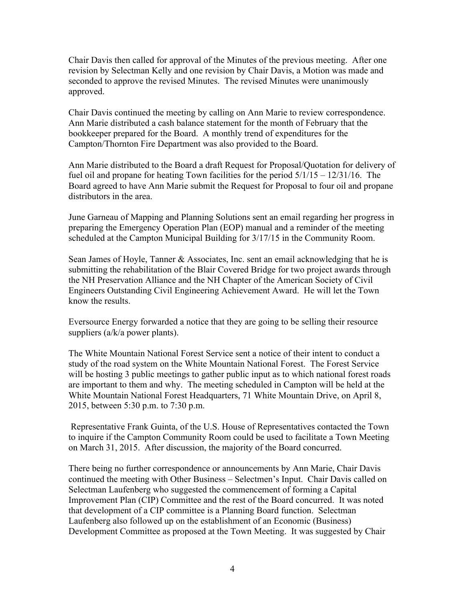Chair Davis then called for approval of the Minutes of the previous meeting. After one revision by Selectman Kelly and one revision by Chair Davis, a Motion was made and seconded to approve the revised Minutes. The revised Minutes were unanimously approved.

Chair Davis continued the meeting by calling on Ann Marie to review correspondence. Ann Marie distributed a cash balance statement for the month of February that the bookkeeper prepared for the Board. A monthly trend of expenditures for the Campton/Thornton Fire Department was also provided to the Board.

Ann Marie distributed to the Board a draft Request for Proposal/Quotation for delivery of fuel oil and propane for heating Town facilities for the period  $5/1/15 - 12/31/16$ . The Board agreed to have Ann Marie submit the Request for Proposal to four oil and propane distributors in the area.

June Garneau of Mapping and Planning Solutions sent an email regarding her progress in preparing the Emergency Operation Plan (EOP) manual and a reminder of the meeting scheduled at the Campton Municipal Building for 3/17/15 in the Community Room.

Sean James of Hoyle, Tanner & Associates, Inc. sent an email acknowledging that he is submitting the rehabilitation of the Blair Covered Bridge for two project awards through the NH Preservation Alliance and the NH Chapter of the American Society of Civil Engineers Outstanding Civil Engineering Achievement Award. He will let the Town know the results.

Eversource Energy forwarded a notice that they are going to be selling their resource suppliers (a/k/a power plants).

The White Mountain National Forest Service sent a notice of their intent to conduct a study of the road system on the White Mountain National Forest. The Forest Service will be hosting 3 public meetings to gather public input as to which national forest roads are important to them and why. The meeting scheduled in Campton will be held at the White Mountain National Forest Headquarters, 71 White Mountain Drive, on April 8, 2015, between 5:30 p.m. to 7:30 p.m.

Representative Frank Guinta, of the U.S. House of Representatives contacted the Town to inquire if the Campton Community Room could be used to facilitate a Town Meeting on March 31, 2015. After discussion, the majority of the Board concurred.

There being no further correspondence or announcements by Ann Marie, Chair Davis continued the meeting with Other Business – Selectmen's Input. Chair Davis called on Selectman Laufenberg who suggested the commencement of forming a Capital Improvement Plan (CIP) Committee and the rest of the Board concurred. It was noted that development of a CIP committee is a Planning Board function. Selectman Laufenberg also followed up on the establishment of an Economic (Business) Development Committee as proposed at the Town Meeting. It was suggested by Chair